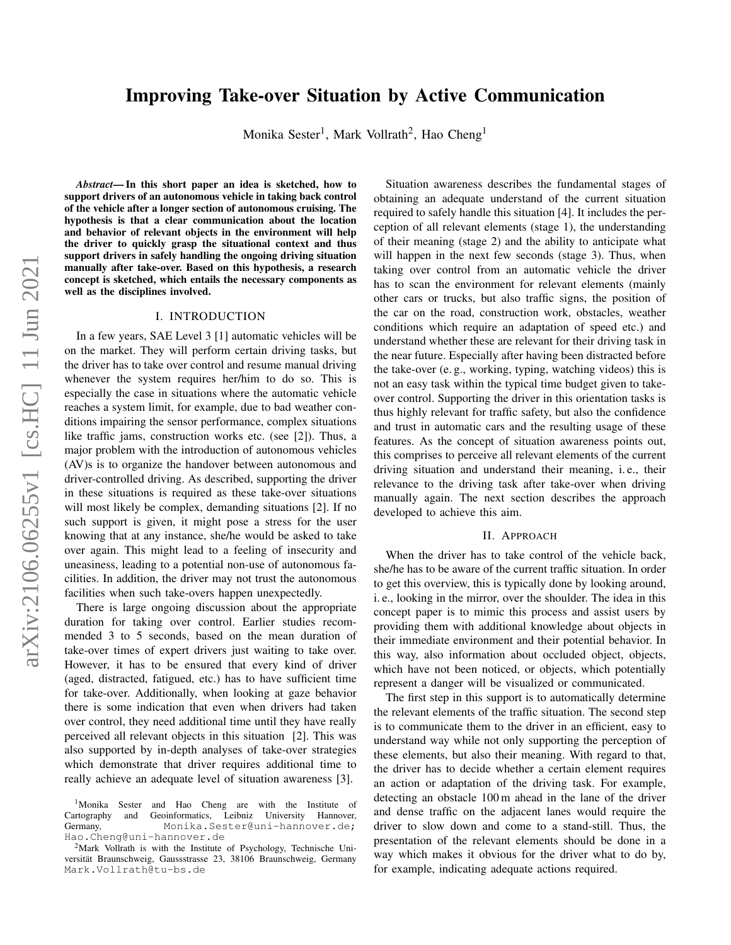# Improving Take-over Situation by Active Communication

Monika Sester<sup>1</sup>, Mark Vollrath<sup>2</sup>, Hao Cheng<sup>1</sup>

*Abstract*— In this short paper an idea is sketched, how to support drivers of an autonomous vehicle in taking back control of the vehicle after a longer section of autonomous cruising. The hypothesis is that a clear communication about the location and behavior of relevant objects in the environment will help the driver to quickly grasp the situational context and thus support drivers in safely handling the ongoing driving situation manually after take-over. Based on this hypothesis, a research concept is sketched, which entails the necessary components as well as the disciplines involved.

### I. INTRODUCTION

In a few years, SAE Level 3 [1] automatic vehicles will be on the market. They will perform certain driving tasks, but the driver has to take over control and resume manual driving whenever the system requires her/him to do so. This is especially the case in situations where the automatic vehicle reaches a system limit, for example, due to bad weather conditions impairing the sensor performance, complex situations like traffic jams, construction works etc. (see [2]). Thus, a major problem with the introduction of autonomous vehicles (AV)s is to organize the handover between autonomous and driver-controlled driving. As described, supporting the driver in these situations is required as these take-over situations will most likely be complex, demanding situations [2]. If no such support is given, it might pose a stress for the user knowing that at any instance, she/he would be asked to take over again. This might lead to a feeling of insecurity and uneasiness, leading to a potential non-use of autonomous facilities. In addition, the driver may not trust the autonomous facilities when such take-overs happen unexpectedly.

There is large ongoing discussion about the appropriate duration for taking over control. Earlier studies recommended 3 to 5 seconds, based on the mean duration of take-over times of expert drivers just waiting to take over. However, it has to be ensured that every kind of driver (aged, distracted, fatigued, etc.) has to have sufficient time for take-over. Additionally, when looking at gaze behavior there is some indication that even when drivers had taken over control, they need additional time until they have really perceived all relevant objects in this situation [2]. This was also supported by in-depth analyses of take-over strategies which demonstrate that driver requires additional time to really achieve an adequate level of situation awareness [3].

Situation awareness describes the fundamental stages of obtaining an adequate understand of the current situation required to safely handle this situation [4]. It includes the perception of all relevant elements (stage 1), the understanding of their meaning (stage 2) and the ability to anticipate what will happen in the next few seconds (stage 3). Thus, when taking over control from an automatic vehicle the driver has to scan the environment for relevant elements (mainly other cars or trucks, but also traffic signs, the position of the car on the road, construction work, obstacles, weather conditions which require an adaptation of speed etc.) and understand whether these are relevant for their driving task in the near future. Especially after having been distracted before the take-over (e. g., working, typing, watching videos) this is not an easy task within the typical time budget given to takeover control. Supporting the driver in this orientation tasks is thus highly relevant for traffic safety, but also the confidence and trust in automatic cars and the resulting usage of these features. As the concept of situation awareness points out, this comprises to perceive all relevant elements of the current driving situation and understand their meaning, i. e., their relevance to the driving task after take-over when driving manually again. The next section describes the approach developed to achieve this aim.

#### II. APPROACH

When the driver has to take control of the vehicle back, she/he has to be aware of the current traffic situation. In order to get this overview, this is typically done by looking around, i. e., looking in the mirror, over the shoulder. The idea in this concept paper is to mimic this process and assist users by providing them with additional knowledge about objects in their immediate environment and their potential behavior. In this way, also information about occluded object, objects, which have not been noticed, or objects, which potentially represent a danger will be visualized or communicated.

The first step in this support is to automatically determine the relevant elements of the traffic situation. The second step is to communicate them to the driver in an efficient, easy to understand way while not only supporting the perception of these elements, but also their meaning. With regard to that, the driver has to decide whether a certain element requires an action or adaptation of the driving task. For example, detecting an obstacle 100 m ahead in the lane of the driver and dense traffic on the adjacent lanes would require the driver to slow down and come to a stand-still. Thus, the presentation of the relevant elements should be done in a way which makes it obvious for the driver what to do by, for example, indicating adequate actions required.

<sup>&</sup>lt;sup>1</sup>Monika Sester and Hao Cheng are with the Institute of Cartography and Geoinformatics, Leibniz University Hannover, dermany, Monika, Sester@uni-hannover.de; Monika.Sester@uni-hannover.de; Hao.Cheng@uni-hannover.de

<sup>2</sup>Mark Vollrath is with the Institute of Psychology, Technische Universität Braunschweig, Gaussstrasse 23, 38106 Braunschweig, Germany Mark.Vollrath@tu-bs.de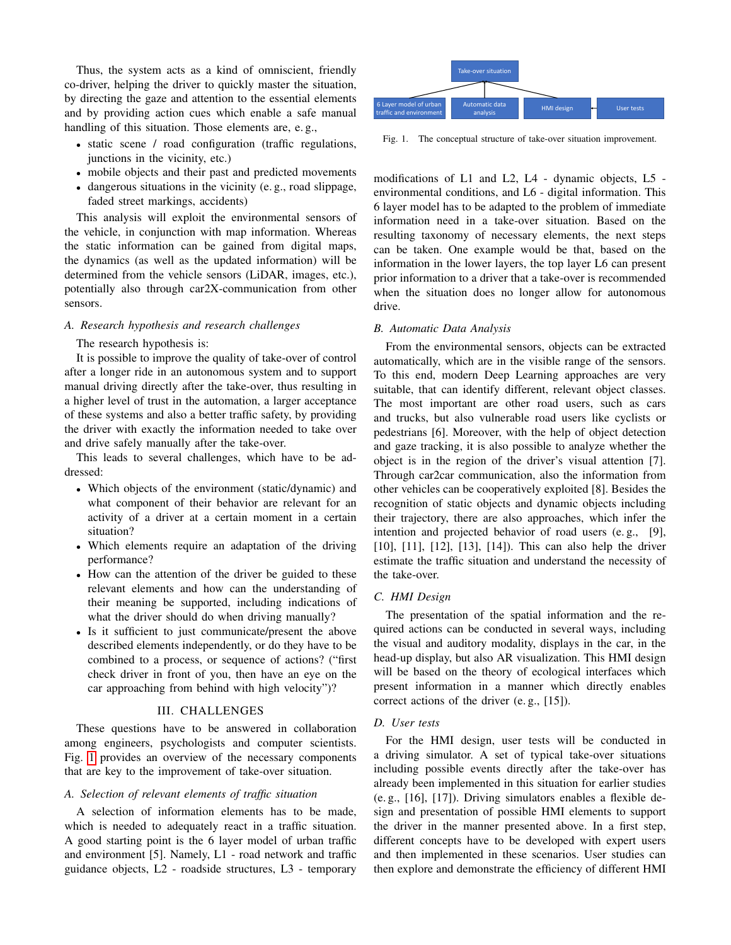Thus, the system acts as a kind of omniscient, friendly co-driver, helping the driver to quickly master the situation, by directing the gaze and attention to the essential elements and by providing action cues which enable a safe manual handling of this situation. Those elements are, e. g.,

- static scene / road configuration (traffic regulations, junctions in the vicinity, etc.)
- mobile objects and their past and predicted movements
- dangerous situations in the vicinity (e. g., road slippage, faded street markings, accidents)

This analysis will exploit the environmental sensors of the vehicle, in conjunction with map information. Whereas the static information can be gained from digital maps, the dynamics (as well as the updated information) will be determined from the vehicle sensors (LiDAR, images, etc.), potentially also through car2X-communication from other sensors. guidal method in the state and the state and the state in the state and the state structure (nearly excel) considerations (Fig. 1. The constrained method objects and their past alternations (Fig. 1. The constrained method

### *A. Research hypothesis and research challenges*

## The research hypothesis is:

It is possible to improve the quality of take-over of control after a longer ride in an autonomous system and to support manual driving directly after the take-over, thus resulting in a higher level of trust in the automation, a larger acceptance of these systems and also a better traffic safety, by providing the driver with exactly the information needed to take over and drive safely manually after the take-over.

This leads to several challenges, which have to be addressed:

- Which objects of the environment (static/dynamic) and what component of their behavior are relevant for an activity of a driver at a certain moment in a certain situation?
- Which elements require an adaptation of the driving performance?
- How can the attention of the driver be guided to these relevant elements and how can the understanding of their meaning be supported, including indications of what the driver should do when driving manually?
- Is it sufficient to just communicate/present the above described elements independently, or do they have to be combined to a process, or sequence of actions? ("first check driver in front of you, then have an eye on the car approaching from behind with high velocity")?

## III. CHALLENGES

These questions have to be answered in collaboration among engineers, psychologists and computer scientists. Fig. [1](#page-1-0) provides an overview of the necessary components that are key to the improvement of take-over situation.

## *A. Selection of relevant elements of traffic situation*

A selection of information elements has to be made, which is needed to adequately react in a traffic situation. A good starting point is the 6 layer model of urban traffic and environment [5]. Namely, L1 - road network and traffic



<span id="page-1-0"></span>Fig. 1. The conceptual structure of take-over situation improvement.

modifications of L1 and L2, L4 - dynamic objects, L5 environmental conditions, and L6 - digital information. This 6 layer model has to be adapted to the problem of immediate information need in a take-over situation. Based on the resulting taxonomy of necessary elements, the next steps can be taken. One example would be that, based on the information in the lower layers, the top layer L6 can present prior information to a driver that a take-over is recommended when the situation does no longer allow for autonomous drive.

#### *B. Automatic Data Analysis*

From the environmental sensors, objects can be extracted automatically, which are in the visible range of the sensors. To this end, modern Deep Learning approaches are very suitable, that can identify different, relevant object classes. The most important are other road users, such as cars and trucks, but also vulnerable road users like cyclists or pedestrians [6]. Moreover, with the help of object detection and gaze tracking, it is also possible to analyze whether the object is in the region of the driver's visual attention [7]. Through car2car communication, also the information from other vehicles can be cooperatively exploited [8]. Besides the recognition of static objects and dynamic objects including their trajectory, there are also approaches, which infer the intention and projected behavior of road users (e. g., [9], [10], [11], [12], [13], [14]). This can also help the driver estimate the traffic situation and understand the necessity of the take-over.

## *C. HMI Design*

The presentation of the spatial information and the required actions can be conducted in several ways, including the visual and auditory modality, displays in the car, in the head-up display, but also AR visualization. This HMI design will be based on the theory of ecological interfaces which present information in a manner which directly enables correct actions of the driver (e. g., [15]).

#### *D. User tests*

For the HMI design, user tests will be conducted in a driving simulator. A set of typical take-over situations including possible events directly after the take-over has already been implemented in this situation for earlier studies (e. g., [16], [17]). Driving simulators enables a flexible design and presentation of possible HMI elements to support the driver in the manner presented above. In a first step, different concepts have to be developed with expert users and then implemented in these scenarios. User studies can then explore and demonstrate the efficiency of different HMI